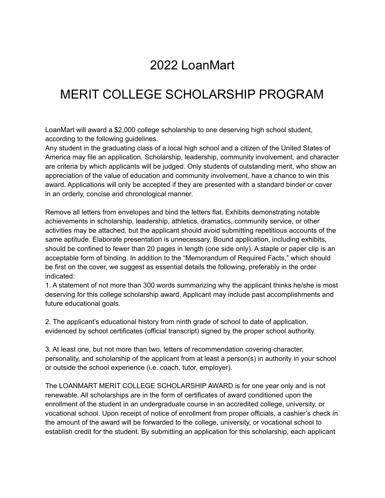# 2022 LoanMart

# MERIT COLLEGE SCHOLARSHIP PROGRAM

LoanMart will award a \$2,000 college scholarship to one deserving high school student, according to the following guidelines.

Any student in the graduating class of a local high school and a citizen of the United States of America may file an application. Scholarship, leadership, community involvement, and character are criteria by which applicants will be judged. Only students of outstanding merit, who show an appreciation of the value of education and community involvement, have a chance to win this award. Applications will only be accepted if they are presented with a standard binder or cover in an orderly, concise and chronological manner.

Remove all letters from envelopes and bind the letters flat. Exhibits demonstrating notable achievements in scholarship, leadership, athletics, dramatics, community service, or other activities may be attached, but the applicant should avoid submitting repetitious accounts of the same aptitude. Elaborate presentation is unnecessary. Bound application, including exhibits, should be confined to fewer than 20 pages in length (one side only). A staple or paper clip is an acceptable form of binding. In addition to the "Memorandum of Required Facts," which should be first on the cover, we suggest as essential details the following, preferably in the order indicated:

1. A statement of not more than 300 words summarizing why the applicant thinks he/she is most deserving for this college scholarship award. Applicant may include past accomplishments and future educational goals.

2. The applicant's educational history from ninth grade of school to date of application, evidenced by school certificates (official transcript) signed by the proper school authority.

3. At least one, but not more than two, letters of recommendation covering character, personality, and scholarship of the applicant from at least a person(s) in authority in your school or outside the school experience (i.e. coach, tutor, employer).

The LOANMART MERIT COLLEGE SCHOLARSHIP AWARD is for one year only and is not renewable. All scholarships are in the form of certificates of award conditioned upon the enrollment of the student in an undergraduate course in an accredited college, university, or vocational school. Upon receipt of notice of enrollment from proper officials, a cashier's check in the amount of the award will be forwarded to the college, university, or vocational school to establish credit for the student. By submitting an application for this scholarship, each applicant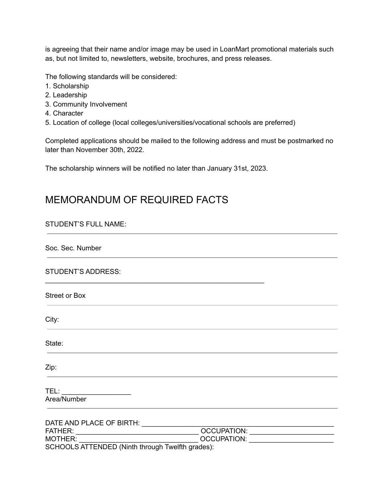is agreeing that their name and/or image may be used in LoanMart promotional materials such as, but not limited to, newsletters, website, brochures, and press releases.

The following standards will be considered:

- 1. Scholarship
- 2. Leadership
- 3. Community Involvement
- 4. Character
- 5. Location of college (local colleges/universities/vocational schools are preferred)

Completed applications should be mailed to the following address and must be postmarked no later than November 30th, 2022.

The scholarship winners will be notified no later than January 31st, 2023.

\_\_\_\_\_\_\_\_\_\_\_\_\_\_\_\_\_\_\_\_\_\_\_\_\_\_\_\_\_\_\_\_\_\_\_\_\_\_\_\_\_\_\_\_\_\_\_\_\_\_\_\_\_\_\_\_\_

### MEMORANDUM OF REQUIRED FACTS

#### STUDENT'S FULL NAME:

Soc. Sec. Number

STUDENT'S ADDRESS:

Street or Box

City:

State:

Zip:

TEL: **with the set of the set of the set of the set of the set of the set of the set of the set of the set of the set of the set of the set of the set of the set of the set of the set of the set of the set of the set of th** Area/Number

| DATE AND PLACE OF BIRTH:                         |             |  |
|--------------------------------------------------|-------------|--|
| <b>FATHER:</b>                                   | OCCUPATION: |  |
| MOTHER:                                          | OCCUPATION: |  |
| SCHOOLS ATTENDED (Ninth through Twelfth grades): |             |  |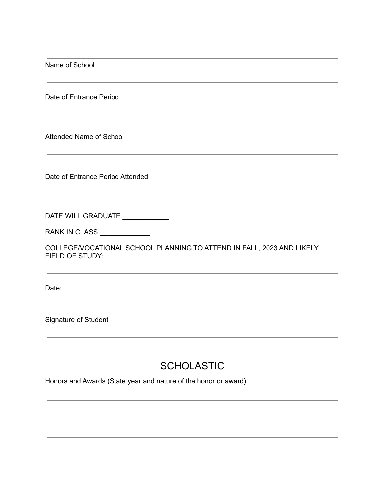Name of School

Date of Entrance Period

Attended Name of School

Date of Entrance Period Attended

DATE WILL GRADUATE \_\_\_\_\_\_\_\_\_\_\_\_

RANK IN CLASS \_\_\_\_\_\_\_\_\_\_\_\_\_\_\_

COLLEGE/VOCATIONAL SCHOOL PLANNING TO ATTEND IN FALL, 2023 AND LIKELY FIELD OF STUDY:

Date:

Signature of Student

### **SCHOLASTIC**

Honors and Awards (State year and nature of the honor or award)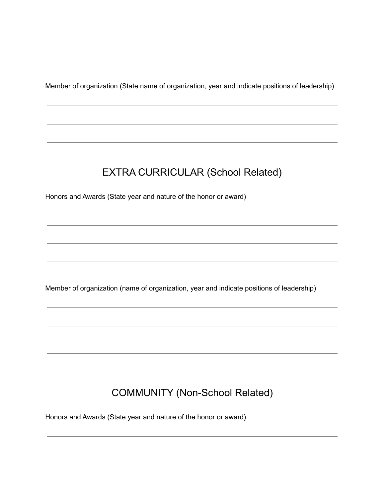Member of organization (State name of organization, year and indicate positions of leadership)

## EXTRA CURRICULAR (School Related)

Honors and Awards (State year and nature of the honor or award)

Member of organization (name of organization, year and indicate positions of leadership)

## COMMUNITY (Non-School Related)

Honors and Awards (State year and nature of the honor or award)